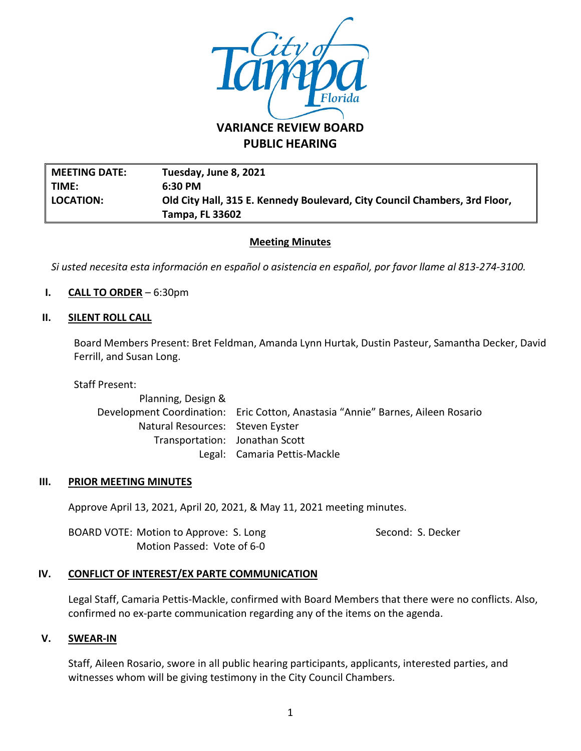

# **PUBLIC HEARING**

**MEETING DATE: Tuesday, June 8, 2021 TIME: 6:30 PM LOCATION: Old City Hall, 315 E. Kennedy Boulevard, City Council Chambers, 3rd Floor, Tampa, FL 33602**

## **Meeting Minutes**

*Si usted necesita esta información en español o asistencia en español, por favor llame al 813-274-3100.*

**I. CALL TO ORDER** – 6:30pm

## **II. SILENT ROLL CALL**

Board Members Present: Bret Feldman, Amanda Lynn Hurtak, Dustin Pasteur, Samantha Decker, David Ferrill, and Susan Long.

Staff Present:

Planning, Design & Development Coordination: Eric Cotton, Anastasia "Annie" Barnes, Aileen Rosario Natural Resources: Steven Eyster Transportation: Jonathan Scott Legal: Camaria Pettis-Mackle

## **III. PRIOR MEETING MINUTES**

Approve April 13, 2021, April 20, 2021, & May 11, 2021 meeting minutes.

BOARD VOTE: Motion to Approve: S. Long Second: S. Decker Motion Passed: Vote of 6-0

## **IV. CONFLICT OF INTEREST/EX PARTE COMMUNICATION**

Legal Staff, Camaria Pettis-Mackle, confirmed with Board Members that there were no conflicts. Also, confirmed no ex-parte communication regarding any of the items on the agenda.

#### **V. SWEAR-IN**

Staff, Aileen Rosario, swore in all public hearing participants, applicants, interested parties, and witnesses whom will be giving testimony in the City Council Chambers.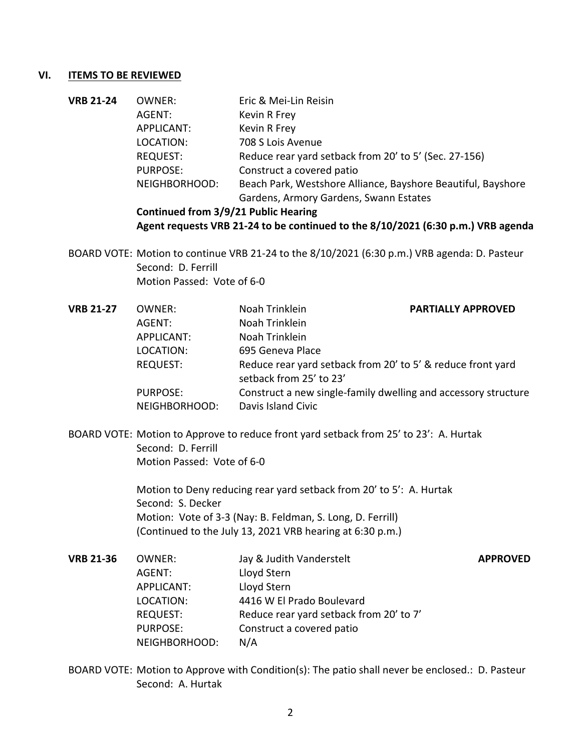#### **VI. ITEMS TO BE REVIEWED**

| <b>VRB 21-24</b> | OWNER:          | Eric & Mei-Lin Reisin                                        |
|------------------|-----------------|--------------------------------------------------------------|
|                  | AGENT:          | Kevin R Frey                                                 |
|                  | APPLICANT:      | Kevin R Frey                                                 |
|                  | LOCATION:       | 708 S Lois Avenue                                            |
|                  | REQUEST:        | Reduce rear yard setback from 20' to 5' (Sec. 27-156)        |
|                  | <b>PURPOSE:</b> | Construct a covered patio                                    |
|                  | NEIGHBORHOOD:   | Beach Park, Westshore Alliance, Bayshore Beautiful, Bayshore |
|                  |                 | Gardens, Armory Gardens, Swann Estates                       |

**Continued from 3/9/21 Public Hearing Agent requests VRB 21-24 to be continued to the 8/10/2021 (6:30 p.m.) VRB agenda**

BOARD VOTE: Motion to continue VRB 21-24 to the 8/10/2021 (6:30 p.m.) VRB agenda: D. Pasteur Second: D. Ferrill Motion Passed: Vote of 6-0

| <b>VRB 21-27</b> | OWNER:                           | Noah Trinklein                                                                         | <b>PARTIALLY APPROVED</b> |  |
|------------------|----------------------------------|----------------------------------------------------------------------------------------|---------------------------|--|
|                  | AGENT:                           | Noah Trinklein                                                                         |                           |  |
|                  | APPLICANT:                       | Noah Trinklein                                                                         |                           |  |
|                  | LOCATION:                        | 695 Geneva Place                                                                       |                           |  |
|                  | REQUEST:                         | Reduce rear yard setback from 20' to 5' & reduce front yard<br>setback from 25' to 23' |                           |  |
|                  | <b>PURPOSE:</b><br>NEIGHBORHOOD: | Construct a new single-family dwelling and accessory structure<br>Davis Island Civic   |                           |  |
|                  |                                  |                                                                                        |                           |  |

BOARD VOTE: Motion to Approve to reduce front yard setback from 25' to 23': A. Hurtak Second: D. Ferrill Motion Passed: Vote of 6-0

> Motion to Deny reducing rear yard setback from 20' to 5': A. Hurtak Second: S. Decker Motion: Vote of 3-3 (Nay: B. Feldman, S. Long, D. Ferrill) (Continued to the July 13, 2021 VRB hearing at 6:30 p.m.)

- **VRB 21-36** OWNER: Jay & Judith Vanderstelt **APPROVED** AGENT: Lloyd Stern APPLICANT: Lloyd Stern LOCATION: 4416 W El Prado Boulevard REQUEST: Reduce rear yard setback from 20' to 7' PURPOSE: Construct a covered patio NEIGHBORHOOD: N/A
- BOARD VOTE: Motion to Approve with Condition(s): The patio shall never be enclosed.: D. Pasteur Second: A. Hurtak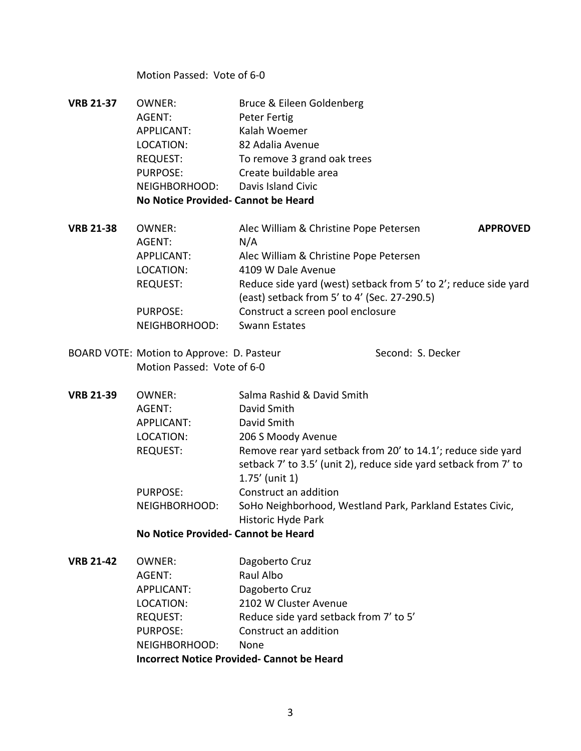Motion Passed: Vote of 6-0

**VRB 21-37** OWNER: Bruce & Eileen Goldenberg AGENT: Peter Fertig APPLICANT: Kalah Woemer LOCATION: 82 Adalia Avenue REQUEST: To remove 3 grand oak trees PURPOSE: Create buildable area NEIGHBORHOOD: Davis Island Civic **No Notice Provided- Cannot be Heard**

**VRB 21-38** OWNER: Alec William & Christine Pope Petersen **APPROVED** AGENT: N/A APPLICANT: Alec William & Christine Pope Petersen LOCATION: 4109 W Dale Avenue REQUEST: Reduce side yard (west) setback from 5' to 2'; reduce side yard (east) setback from 5' to 4' (Sec. 27-290.5) PURPOSE: Construct a screen pool enclosure NEIGHBORHOOD: Swann Estates

BOARD VOTE: Motion to Approve: D. Pasteur Second: S. Decker Motion Passed: Vote of 6-0

**VRB 21-39** OWNER: Salma Rashid & David Smith AGENT: David Smith APPLICANT: David Smith LOCATION: 206 S Moody Avenue REQUEST: Remove rear yard setback from 20' to 14.1'; reduce side yard setback 7' to 3.5' (unit 2), reduce side yard setback from 7' to 1.75' (unit 1) PURPOSE: Construct an addition NEIGHBORHOOD: SoHo Neighborhood, Westland Park, Parkland Estates Civic, Historic Hyde Park

#### **No Notice Provided- Cannot be Heard**

**VRB 21-42** OWNER: Dagoberto Cruz AGENT: Raul Albo APPLICANT: Dagoberto Cruz LOCATION: 2102 W Cluster Avenue REQUEST: Reduce side yard setback from 7' to 5' PURPOSE: Construct an addition NEIGHBORHOOD: None **Incorrect Notice Provided- Cannot be Heard**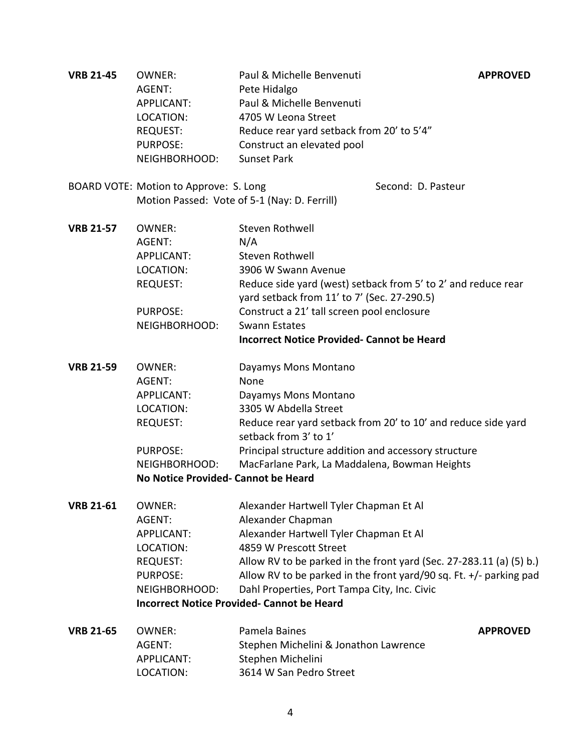| <b>VRB 21-45</b> | <b>OWNER:</b><br>AGENT:<br><b>APPLICANT:</b><br>LOCATION:<br><b>REQUEST:</b><br><b>PURPOSE:</b><br>NEIGHBORHOOD:                                 | Paul & Michelle Benvenuti<br>Pete Hidalgo<br>Paul & Michelle Benvenuti<br>4705 W Leona Street<br>Reduce rear yard setback from 20' to 5'4"<br>Construct an elevated pool<br><b>Sunset Park</b>                                                                                                              | <b>APPROVED</b>                                                                                                                           |  |
|------------------|--------------------------------------------------------------------------------------------------------------------------------------------------|-------------------------------------------------------------------------------------------------------------------------------------------------------------------------------------------------------------------------------------------------------------------------------------------------------------|-------------------------------------------------------------------------------------------------------------------------------------------|--|
|                  | BOARD VOTE: Motion to Approve: S. Long                                                                                                           | Motion Passed: Vote of 5-1 (Nay: D. Ferrill)                                                                                                                                                                                                                                                                | Second: D. Pasteur                                                                                                                        |  |
| <b>VRB 21-57</b> | <b>OWNER:</b><br>AGENT:<br>APPLICANT:<br>LOCATION:<br><b>REQUEST:</b><br><b>PURPOSE:</b><br>NEIGHBORHOOD:                                        | Steven Rothwell<br>N/A<br><b>Steven Rothwell</b><br>3906 W Swann Avenue<br>Reduce side yard (west) setback from 5' to 2' and reduce rear<br>yard setback from 11' to 7' (Sec. 27-290.5)<br>Construct a 21' tall screen pool enclosure<br>Swann Estates<br><b>Incorrect Notice Provided- Cannot be Heard</b> |                                                                                                                                           |  |
| <b>VRB 21-59</b> | <b>OWNER:</b><br>AGENT:<br>APPLICANT:<br>LOCATION:<br><b>REQUEST:</b><br><b>PURPOSE:</b><br>NEIGHBORHOOD:<br>No Notice Provided- Cannot be Heard | Dayamys Mons Montano<br>None<br>Dayamys Mons Montano<br>3305 W Abdella Street<br>setback from 3' to 1'<br>Principal structure addition and accessory structure<br>MacFarlane Park, La Maddalena, Bowman Heights                                                                                             | Reduce rear yard setback from 20' to 10' and reduce side yard                                                                             |  |
| <b>VRB 21-61</b> | <b>OWNER:</b><br>AGENT:<br>APPLICANT:<br>LOCATION:<br><b>REQUEST:</b><br><b>PURPOSE:</b><br>NEIGHBORHOOD:                                        | Alexander Hartwell Tyler Chapman Et Al<br>Alexander Chapman<br>Alexander Hartwell Tyler Chapman Et Al<br>4859 W Prescott Street<br>Dahl Properties, Port Tampa City, Inc. Civic<br><b>Incorrect Notice Provided- Cannot be Heard</b>                                                                        | Allow RV to be parked in the front yard (Sec. 27-283.11 (a) (5) b.)<br>Allow RV to be parked in the front yard/90 sq. Ft. +/- parking pad |  |
| <b>VRB 21-65</b> | <b>OWNER:</b><br>AGENT:<br>APPLICANT:<br>LOCATION:                                                                                               | Pamela Baines<br>Stephen Michelini & Jonathon Lawrence<br>Stephen Michelini<br>3614 W San Pedro Street                                                                                                                                                                                                      | <b>APPROVED</b>                                                                                                                           |  |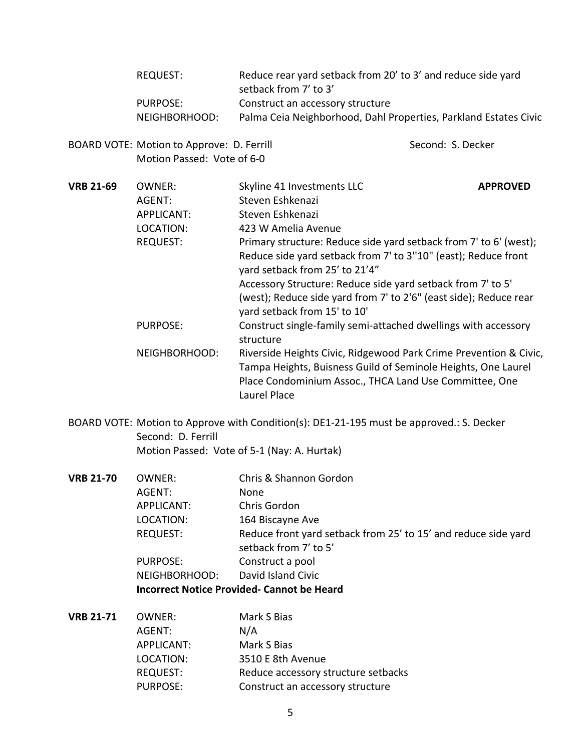REQUEST: Reduce rear yard setback from 20' to 3' and reduce side yard setback from 7' to 3' PURPOSE: Construct an accessory structure NEIGHBORHOOD: Palma Ceia Neighborhood, Dahl Properties, Parkland Estates Civic

BOARD VOTE: Motion to Approve: D. Ferrill Second: S. Decker Motion Passed: Vote of 6-0

**VRB 21-69** OWNER: Skyline 41 Investments LLC **APPROVED** AGENT: Steven Eshkenazi APPLICANT: Steven Eshkenazi LOCATION: 423 W Amelia Avenue REQUEST: Primary structure: Reduce side yard setback from 7' to 6' (west); Reduce side yard setback from 7' to 3''10" (east); Reduce front yard setback from 25' to 21'4" Accessory Structure: Reduce side yard setback from 7' to 5' (west); Reduce side yard from 7' to 2'6" (east side); Reduce rear yard setback from 15' to 10' PURPOSE: Construct single-family semi-attached dwellings with accessory structure NEIGHBORHOOD: Riverside Heights Civic, Ridgewood Park Crime Prevention & Civic, Tampa Heights, Buisness Guild of Seminole Heights, One Laurel Place Condominium Assoc., THCA Land Use Committee, One Laurel Place

- BOARD VOTE: Motion to Approve with Condition(s): DE1-21-195 must be approved.: S. Decker Second: D. Ferrill Motion Passed: Vote of 5-1 (Nay: A. Hurtak)
- **VRB 21-70** OWNER: Chris & Shannon Gordon AGENT: None APPLICANT: Chris Gordon LOCATION: 164 Biscayne Ave REQUEST: Reduce front yard setback from 25' to 15' and reduce side yard setback from 7' to 5' PURPOSE: Construct a pool NEIGHBORHOOD: David Island Civic **Incorrect Notice Provided- Cannot be Heard**

| <b>VRB 21-71</b> | OWNER:          | Mark S Bias                         |
|------------------|-----------------|-------------------------------------|
|                  | AGENT:          | N/A                                 |
|                  | APPLICANT:      | Mark S Bias                         |
|                  | LOCATION:       | 3510 E 8th Avenue                   |
|                  | <b>REQUEST:</b> | Reduce accessory structure setbacks |
|                  | <b>PURPOSE:</b> | Construct an accessory structure    |